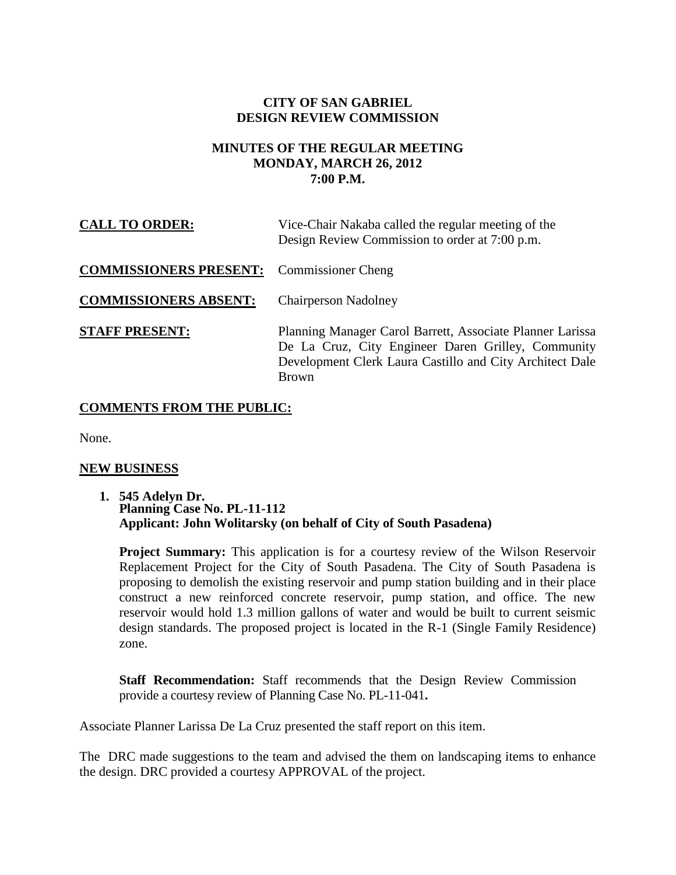# **CITY OF SAN GABRIEL DESIGN REVIEW COMMISSION**

## **MINUTES OF THE REGULAR MEETING MONDAY, MARCH 26, 2012 7:00 P.M.**

| <b>CALL TO ORDER:</b>         | Vice-Chair Nakaba called the regular meeting of the<br>Design Review Commission to order at 7:00 p.m.                                                                                       |
|-------------------------------|---------------------------------------------------------------------------------------------------------------------------------------------------------------------------------------------|
| <b>COMMISSIONERS PRESENT:</b> | <b>Commissioner Cheng</b>                                                                                                                                                                   |
| <b>COMMISSIONERS ABSENT:</b>  | <b>Chairperson Nadolney</b>                                                                                                                                                                 |
| <b>STAFF PRESENT:</b>         | Planning Manager Carol Barrett, Associate Planner Larissa<br>De La Cruz, City Engineer Daren Grilley, Community<br>Development Clerk Laura Castillo and City Architect Dale<br><b>Brown</b> |

# **COMMENTS FROM THE PUBLIC:**

None.

#### **NEW BUSINESS**

**1. 545 Adelyn Dr. Planning Case No. PL-11-112 Applicant: John Wolitarsky (on behalf of City of South Pasadena)**

**Project Summary:** This application is for a courtesy review of the Wilson Reservoir Replacement Project for the City of South Pasadena. The City of South Pasadena is proposing to demolish the existing reservoir and pump station building and in their place construct a new reinforced concrete reservoir, pump station, and office. The new reservoir would hold 1.3 million gallons of water and would be built to current seismic design standards. The proposed project is located in the R-1 (Single Family Residence) zone.

**Staff Recommendation:** Staff recommends that the Design Review Commission provide a courtesy review of Planning Case No. PL-11-041**.**

Associate Planner Larissa De La Cruz presented the staff report on this item.

The DRC made suggestions to the team and advised the them on landscaping items to enhance the design. DRC provided a courtesy APPROVAL of the project.